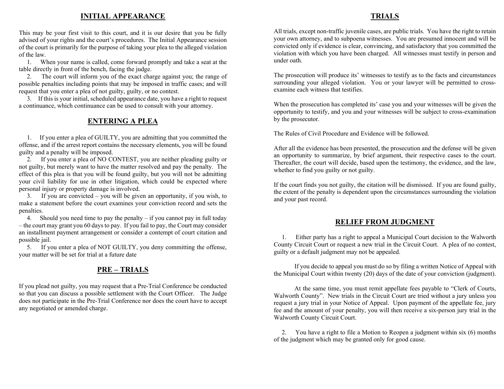#### **INITIAL APPEARANCE**

This may be your first visit to this court, and it is our desire that you be fully advised of your rights and the court's procedures. The Initial Appearance session of the court is primarily for the purpose of taking your plea to the alleged violation of the law.

 1. When your name is called, come forward promptly and take a seat at the table directly in front of the bench, facing the judge.

 2. The court will inform you of the exact charge against you; the range of possible penalties including points that may be imposed in traffic cases; and will request that you enter a plea of not guilty, guilty, or no contest.

 3. If this is your initial, scheduled appearance date, you have a right to request a continuance, which continuance can be used to consult with your attorney.

## **ENTERING A PLEA**

 1. If you enter a plea of GUILTY, you are admitting that you committed the offense, and if the arrest report contains the necessary elements, you will be found guilty and a penalty will be imposed.

 2. If you enter a plea of NO CONTEST, you are neither pleading guilty or not guilty, but merely want to have the matter resolved and pay the penalty. The effect of this plea is that you will be found guilty, but you will not be admitting your civil liability for use in other litigation, which could be expected where personal injury or property damage is involved.

 3. If you are convicted – you will be given an opportunity, if you wish, to make a statement before the court examines your conviction record and sets the penalties.

 4. Should you need time to pay the penalty – if you cannot pay in full today – the court may grant you 60 days to pay. If you fail to pay, the Court may consider an installment payment arrangement or consider a contempt of court citation and possible jail.

 5. If you enter a plea of NOT GUILTY, you deny committing the offense, your matter will be set for trial at a future date

## **PRE – TRIALS**

If you plead not guilty, you may request that a Pre-Trial Conference be conducted so that you can discuss a possible settlement with the Court Officer. The Judge does not participate in the Pre-Trial Conference nor does the court have to accept any negotiated or amended charge.

### All trials, except non-traffic juvenile cases, are public trials. You have the right to retain your own attorney, and to subpoena witnesses. You are presumed innocent and will be convicted only if evidence is clear, convincing, and satisfactory that you committed the violation with which you have been charged. All witnesses must testify in person and under oath.

The prosecution will produce its' witnesses to testify as to the facts and circumstances surrounding your alleged violation. You or your lawyer will be permitted to crossexamine each witness that testifies.

When the prosecution has completed its' case you and your witnesses will be given the opportunity to testify, and you and your witnesses will be subject to cross-examination by the prosecutor.

The Rules of Civil Procedure and Evidence will be followed.

After all the evidence has been presented, the prosecution and the defense will be given an opportunity to summarize, by brief argument, their respective cases to the court. Thereafter, the court will decide, based upon the testimony, the evidence, and the law, whether to find you guilty or not guilty.

If the court finds you not guilty, the citation will be dismissed. If you are found guilty, the extent of the penalty is dependent upon the circumstances surrounding the violation and your past record.

#### **RELIEF FROM JUDGMENT**

 1. Either party has a right to appeal a Municipal Court decision to the Walworth County Circuit Court or request a new trial in the Circuit Court. A plea of no contest, guilty or a default judgment may not be appealed.

 If you decide to appeal you must do so by filing a written Notice of Appeal with the Municipal Court within twenty (20) days of the date of your conviction (judgment).

 At the same time, you must remit appellate fees payable to "Clerk of Courts, Walworth County". New trials in the Circuit Court are tried without a jury unless you request a jury trial in your Notice of Appeal. Upon payment of the appellate fee, jury fee and the amount of your penalty, you will then receive a six-person jury trial in the Walworth County Circuit Court.

 2. You have a right to file a Motion to Reopen a judgment within six (6) months of the judgment which may be granted only for good cause.

#### **TRIALS**